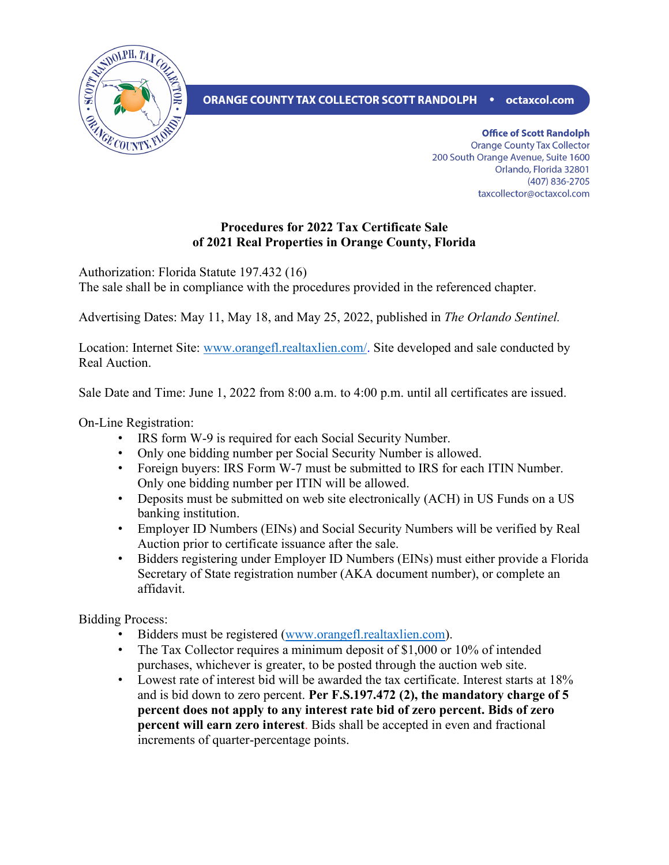

## ORANGE COUNTY TAX COLLECTOR SCOTT RANDOLPH • octaxcol.com

**Office of Scott Randolph Orange County Tax Collector** 200 South Orange Avenue, Suite 1600 Orlando, Florida 32801 (407) 836-2705 taxcollector@octaxcol.com

## **Procedures for 2022 Tax Certificate Sale of 2021 Real Properties in Orange County, Florida**

Authorization: Florida Statute 197.432 (16)

The sale shall be in compliance with the procedures provided in the referenced chapter.

Advertising Dates: May 11, May 18, and May 25, 2022, published in *The Orlando Sentinel.*

Location: Internet Site: [www.orangefl.realtaxlien.com/.](http://www.orangefl.realtaxlien.com/) Site developed and sale conducted by Real Auction.

Sale Date and Time: June 1, 2022 from 8:00 a.m. to 4:00 p.m. until all certificates are issued.

On-Line Registration:

- IRS form W-9 is required for each Social Security Number.
- Only one bidding number per Social Security Number is allowed.
- Foreign buyers: IRS Form W-7 must be submitted to IRS for each ITIN Number. Only one bidding number per ITIN will be allowed.
- Deposits must be submitted on web site electronically (ACH) in US Funds on a US banking institution.
- Employer ID Numbers (EINs) and Social Security Numbers will be verified by Real Auction prior to certificate issuance after the sale.
- Bidders registering under Employer ID Numbers (EINs) must either provide a Florida Secretary of State registration number (AKA document number), or complete an affidavit.

Bidding Process:

- Bidders must be registered [\(www.orangefl.realtaxlien.com\)](file://octaxcol/octc/DepartmentData/Communications/Website/Forms/Property%20Tax%20Forms/2019/www.orangefl.realtaxlien.com).
- The Tax Collector requires a minimum deposit of \$1,000 or 10% of intended purchases, whichever is greater, to be posted through the auction web site.
- Lowest rate of interest bid will be awarded the tax certificate. Interest starts at 18% and is bid down to zero percent. **Per F.S.197.472 (2), the mandatory charge of 5 percent does not apply to any interest rate bid of zero percent. Bids of zero percent will earn zero interest**. Bids shall be accepted in even and fractional increments of quarter-percentage points.